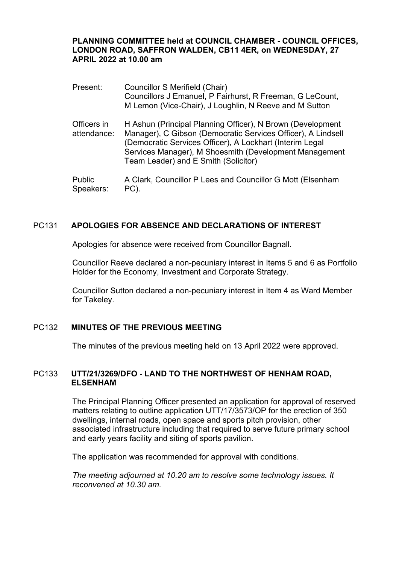## **PLANNING COMMITTEE held at COUNCIL CHAMBER - COUNCIL OFFICES, LONDON ROAD, SAFFRON WALDEN, CB11 4ER, on WEDNESDAY, 27 APRIL 2022 at 10.00 am**

| Present:                   | Councillor S Merifield (Chair)<br>Councillors J Emanuel, P Fairhurst, R Freeman, G LeCount,<br>M Lemon (Vice-Chair), J Loughlin, N Reeve and M Sutton                                                                                                                                    |
|----------------------------|------------------------------------------------------------------------------------------------------------------------------------------------------------------------------------------------------------------------------------------------------------------------------------------|
| Officers in<br>attendance: | H Ashun (Principal Planning Officer), N Brown (Development<br>Manager), C Gibson (Democratic Services Officer), A Lindsell<br>(Democratic Services Officer), A Lockhart (Interim Legal<br>Services Manager), M Shoesmith (Development Management<br>Team Leader) and E Smith (Solicitor) |
| <b>Dublic</b>              | A Clark, Councillor P. Lees and Councillor C. Mott (Elsepham                                                                                                                                                                                                                             |

Public Speakers: A Clark, Councillor P Lees and Councillor G Mott (Elsenham PC).

# PC131 **APOLOGIES FOR ABSENCE AND DECLARATIONS OF INTEREST**

Apologies for absence were received from Councillor Bagnall.

Councillor Reeve declared a non-pecuniary interest in Items 5 and 6 as Portfolio Holder for the Economy, Investment and Corporate Strategy.

Councillor Sutton declared a non-pecuniary interest in Item 4 as Ward Member for Takeley.

## PC132 **MINUTES OF THE PREVIOUS MEETING**

The minutes of the previous meeting held on 13 April 2022 were approved.

#### PC133 **UTT/21/3269/DFO - LAND TO THE NORTHWEST OF HENHAM ROAD, ELSENHAM**

The Principal Planning Officer presented an application for approval of reserved matters relating to outline application UTT/17/3573/OP for the erection of 350 dwellings, internal roads, open space and sports pitch provision, other associated infrastructure including that required to serve future primary school and early years facility and siting of sports pavilion.

The application was recommended for approval with conditions.

*The meeting adjourned at 10.20 am to resolve some technology issues. It reconvened at 10.30 am.*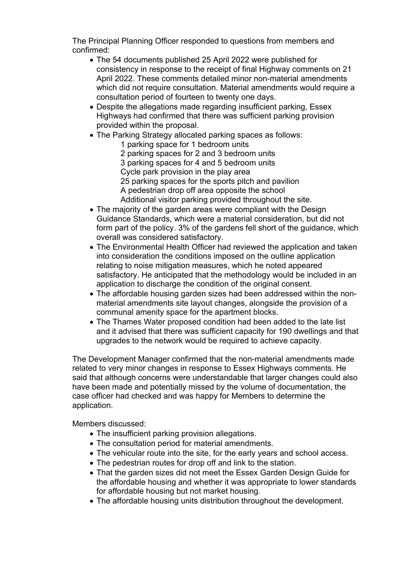The Principal Planning Officer responded to questions from members and confirmed:

- The 54 documents published 25 April 2022 were published for consistency in response to the receipt of final Highway comments on 21 April 2022. These comments detailed minor non-material amendments which did not require consultation. Material amendments would require a consultation period of fourteen to twenty one days.
- Despite the allegations made regarding insufficient parking, Essex Highways had confirmed that there was sufficient parking provision provided within the proposal.
- The Parking Strategy allocated parking spaces as follows:
	- 1 parking space for 1 bedroom units 2 parking spaces for 2 and 3 bedroom units 3 parking spaces for 4 and 5 bedroom units Cycle park provision in the play area 25 parking spaces for the sports pitch and pavilion A pedestrian drop off area opposite the school Additional visitor parking provided throughout the site.
- The majority of the garden areas were compliant with the Design Guidance Standards, which were a material consideration, but did not form part of the policy. 3% of the gardens fell short of the guidance, which overall was considered satisfactory.
- The Environmental Health Officer had reviewed the application and taken into consideration the conditions imposed on the outline application relating to noise mitigation measures, which he noted appeared satisfactory. He anticipated that the methodology would be included in an application to discharge the condition of the original consent.
- The affordable housing garden sizes had been addressed within the nonmaterial amendments site layout changes, alongside the provision of a communal amenity space for the apartment blocks.
- The Thames Water proposed condition had been added to the late list and it advised that there was sufficient capacity for 190 dwellings and that upgrades to the network would be required to achieve capacity.

The Development Manager confirmed that the non-material amendments made related to very minor changes in response to Essex Highways comments. He said that although concerns were understandable that larger changes could also have been made and potentially missed by the volume of documentation, the case officer had checked and was happy for Members to determine the application.

Members discussed:

- The insufficient parking provision allegations.
- The consultation period for material amendments.
- The vehicular route into the site, for the early years and school access.
- The pedestrian routes for drop off and link to the station.
- That the garden sizes did not meet the Essex Garden Design Guide for the affordable housing and whether it was appropriate to lower standards for affordable housing but not market housing.
- The affordable housing units distribution throughout the development.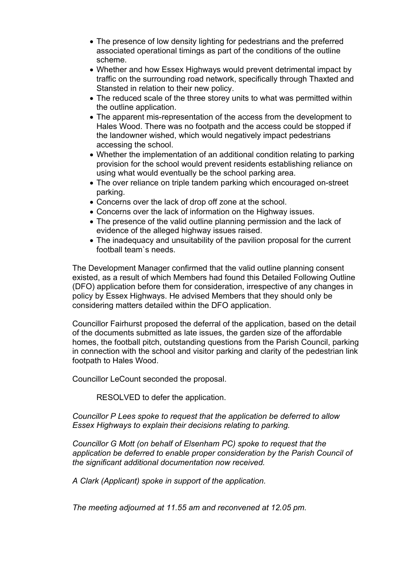- The presence of low density lighting for pedestrians and the preferred associated operational timings as part of the conditions of the outline scheme.
- Whether and how Essex Highways would prevent detrimental impact by traffic on the surrounding road network, specifically through Thaxted and Stansted in relation to their new policy.
- The reduced scale of the three storey units to what was permitted within the outline application.
- The apparent mis-representation of the access from the development to Hales Wood. There was no footpath and the access could be stopped if the landowner wished, which would negatively impact pedestrians accessing the school.
- Whether the implementation of an additional condition relating to parking provision for the school would prevent residents establishing reliance on using what would eventually be the school parking area.
- The over reliance on triple tandem parking which encouraged on-street parking.
- Concerns over the lack of drop off zone at the school.
- Concerns over the lack of information on the Highway issues.
- The presence of the valid outline planning permission and the lack of evidence of the alleged highway issues raised.
- The inadequacy and unsuitability of the pavilion proposal for the current football team`s needs.

The Development Manager confirmed that the valid outline planning consent existed, as a result of which Members had found this Detailed Following Outline (DFO) application before them for consideration, irrespective of any changes in policy by Essex Highways. He advised Members that they should only be considering matters detailed within the DFO application.

Councillor Fairhurst proposed the deferral of the application, based on the detail of the documents submitted as late issues, the garden size of the affordable homes, the football pitch, outstanding questions from the Parish Council, parking in connection with the school and visitor parking and clarity of the pedestrian link footpath to Hales Wood.

Councillor LeCount seconded the proposal.

RESOLVED to defer the application.

*Councillor P Lees spoke to request that the application be deferred to allow Essex Highways to explain their decisions relating to parking.*

*Councillor G Mott (on behalf of Elsenham PC) spoke to request that the application be deferred to enable proper consideration by the Parish Council of the significant additional documentation now received.*

*A Clark (Applicant) spoke in support of the application.*

*The meeting adjourned at 11.55 am and reconvened at 12.05 pm.*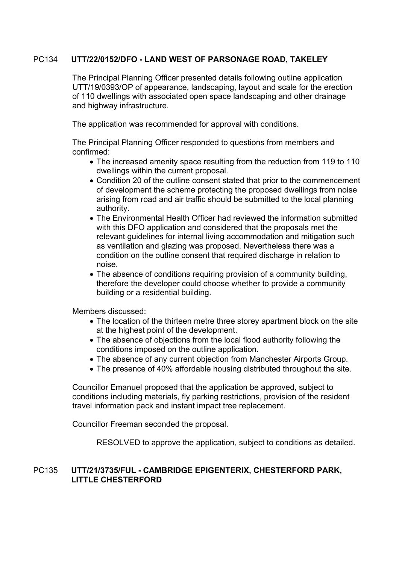# PC134 **UTT/22/0152/DFO - LAND WEST OF PARSONAGE ROAD, TAKELEY**

The Principal Planning Officer presented details following outline application UTT/19/0393/OP of appearance, landscaping, layout and scale for the erection of 110 dwellings with associated open space landscaping and other drainage and highway infrastructure.

The application was recommended for approval with conditions.

The Principal Planning Officer responded to questions from members and confirmed:

- The increased amenity space resulting from the reduction from 119 to 110 dwellings within the current proposal.
- Condition 20 of the outline consent stated that prior to the commencement of development the scheme protecting the proposed dwellings from noise arising from road and air traffic should be submitted to the local planning authority.
- The Environmental Health Officer had reviewed the information submitted with this DFO application and considered that the proposals met the relevant guidelines for internal living accommodation and mitigation such as ventilation and glazing was proposed. Nevertheless there was a condition on the outline consent that required discharge in relation to noise.
- The absence of conditions requiring provision of a community building, therefore the developer could choose whether to provide a community building or a residential building.

Members discussed:

- The location of the thirteen metre three storey apartment block on the site at the highest point of the development.
- The absence of objections from the local flood authority following the conditions imposed on the outline application.
- The absence of any current objection from Manchester Airports Group.
- The presence of 40% affordable housing distributed throughout the site.

Councillor Emanuel proposed that the application be approved, subject to conditions including materials, fly parking restrictions, provision of the resident travel information pack and instant impact tree replacement.

Councillor Freeman seconded the proposal.

RESOLVED to approve the application, subject to conditions as detailed.

#### PC135 **UTT/21/3735/FUL - CAMBRIDGE EPIGENTERIX, CHESTERFORD PARK, LITTLE CHESTERFORD**